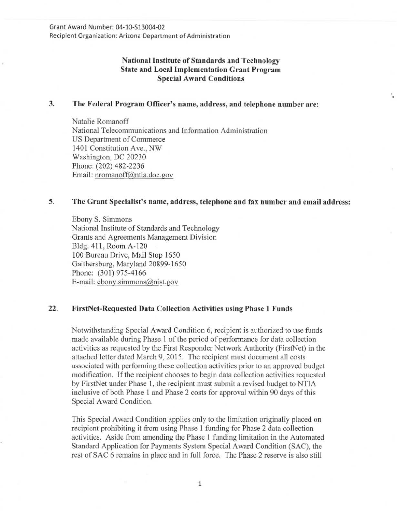Grant Award Number: 04-10-513004-02 Recipient Organization: Arizona Department of Administration

# **National Institute of Standards and Technology State and Local Implementation Grant Program Special Award Conditions**

## **3. The Federal Program Officer's name, address, and telephone number are:**

Natalie Romanoff National Telecommunications and Information Administration US Department of Commerce 1401 Constitution Ave., NW Washington, DC 20230 Phone: (202) 482-2236 Email: momanoff@ntia.doc.gov

## **5. The Grant Specialist's name, address, telephone and fax number and email address:**

Ebony S. Simmons National Institute of Standards and Technology Grants and Agreements Management Division Bldg. 4 11, Room A-120 100 Bureau Drive, Mail Stop 1650 Gaithersburg, Maryland 20899-1650 Phone: (301) 975-4166 E-mail: ebony.simmons@nist.gov

## **22. FirstNet-Requestcd Data Collection Activities using Phase 1 Funds**

Notwithstanding Special Award Condition 6, recipient is authorized to use funds made available during Phase 1 of the period of performance for data collection activities as requested by the First Responder Network Authority (FirstNet) in the attached letter dated March 9, 2015. The recipient must document all costs associated with performing these collection activities prior to an approved budget modification. If the recipient chooses to begin data collection activities requested by FirstNet under Phase 1, the recipient must submit a revised budget to NTIA inclusive of both Phase 1 and Phase 2 costs for approval within 90 days of this Special Award Condition.

This Special Award Condition applies only to the limitation originally placed on recipient prohibiting it from using Phase 1 funding for Phase 2 data collection activities. Aside from amending the Phase 1 funding limitation in the Automated Standard Application for Payments System Special Award Condition (SAC), the rest of SAC 6 remains in place and in full force. The Phase 2 reserve is also still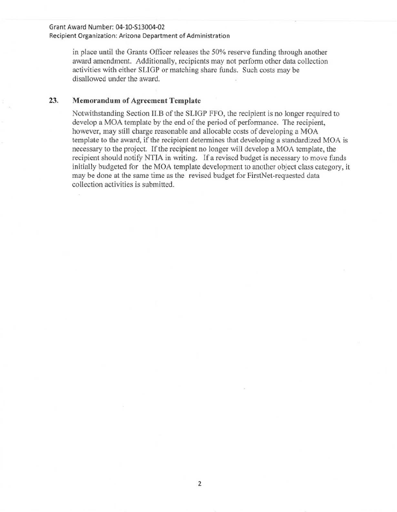## Grant Award Number: 04-10-513004-02 Recipient Organization: Arizona Department of Administration

in place until the Grants Officer releases the 50% reserve funding through another award amendment. Additionally, recipients may not perform other data collection activities with either SLIGP or matching share funds. Such costs may be disallowed under the award.

#### 23. **Memorandum of Agreement Template**

Notwithstanding Section II.B of the SLIGP FFO, the recipient is no longer required to develop a MOA template by the end of the period of performance. The recipient, however, may still charge reasonable and allocable costs of developing a MOA template to the award, if the recipient determines that developing a standardized MOA is necessary to the project. If the recipient no longer will develop a MOA template, the recipient should notify NTIA in writing. If a revised budget is necessary to move funds initially budgeted for the MOA template development to another object class category, it may be done at the same time as the revised budget for FirstNet-requested data collection activities is submitted.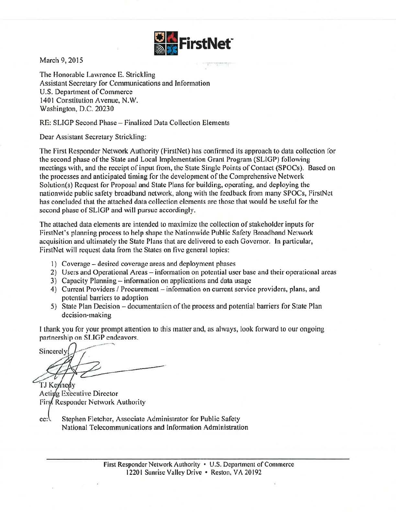

March 9, 2015

The Honorable Lawrence E. Strickling Assistant Secretary for Communications and Information U.S. Department of Commerce 1401 Constitution Avenue, N.W. Washington, D.C. 20230

RE: SLIGP Second Phase- Finalized Data Collection Elements

Dear Assistant Secretary Strickling:

The First Responder Network Authority (FirstNet) has confirmed its approach to data collection for the second phase of the State and Local Implementation Grant Program (SLIGP) following meetings with, and the receipt of input from, the State Single Points of Contact (SPOCs). Based on the processes and anticipated timing for the development of the Comprehensive Network Solution(s) Request for Proposal and State Plans for building, operating, and deploying the nationwide public safety broadband network, along with the feedback from many SPOCs, FirstNet has concluded that the attached data collection elements are those that would be useful for the second phase of SLIGP and will pursue accordingly.

The attached data elements are intended to maximize the collection of stakeholder inputs for FirstNet's planning process to help shape the Nationwide Public Safety Broadband Network acquisition and ultimately the State Plans that are delivered to each Governor. In particular, FirstNct will request data from the States on five general topics:

- 1) Coverage- desired coverage areas and deployment phases
- 2) Users and Operational Areas- information on potential user base and their operational areas
- 3) Capacity Planning information on applications and data usage
- 4) Current Providers / Procurement information on current service providers, plans, and potential barriers to adoption
- 5) State Plan Decision documentation of the process and potential barriers for State Plan decision-making

I thank you for your prompt attention to this matter and, as always, look forward to our ongoing partnership on SLIGP endeavors.

Sincerely

TJ Kennedy Active Executive Director First Responder Network Authority

Stephen Fletcher, Associate Administrator for Public Safety  $cc:$ National Telecommunications and Information Administration